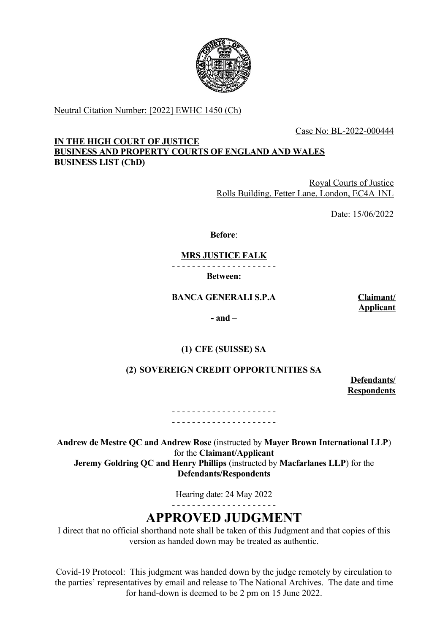

Neutral Citation Number: [2022] EWHC 1450 (Ch)

Case No: BL-2022-000444

## **IN THE HIGH COURT OF JUSTICE BUSINESS AND PROPERTY COURTS OF ENGLAND AND WALES BUSINESS LIST (ChD)**

Royal Courts of Justice Rolls Building, Fetter Lane, London, EC4A 1NL

Date: 15/06/2022

**Before**:

**MRS JUSTICE FALK**

- - - - - - - - - - - - - - - - - - - - -

**Between:**

**BANCA GENERALI S.P.A Claimant/**

**Applicant**

**- and –**

# **(1) CFE (SUISSE) SA**

# **(2) SOVEREIGN CREDIT OPPORTUNITIES SA**

**Defendants/ Respondents**

- - - - - - - - - - - - - - - - - - - - - - - - - - - - - - - - - - - - - - - - - -

**Andrew de Mestre QC and Andrew Rose** (instructed by **Mayer Brown International LLP**) for the **Claimant/Applicant Jeremy Goldring QC and Henry Phillips** (instructed by **Macfarlanes LLP**) for the **Defendants/Respondents**

Hearing date: 24 May 2022

- - - - - - - - - - - - - - - - - - - - -

# **APPROVED JUDGMENT**

I direct that no official shorthand note shall be taken of this Judgment and that copies of this version as handed down may be treated as authentic.

Covid-19 Protocol: This judgment was handed down by the judge remotely by circulation to the parties' representatives by email and release to The National Archives. The date and time for hand-down is deemed to be 2 pm on 15 June 2022.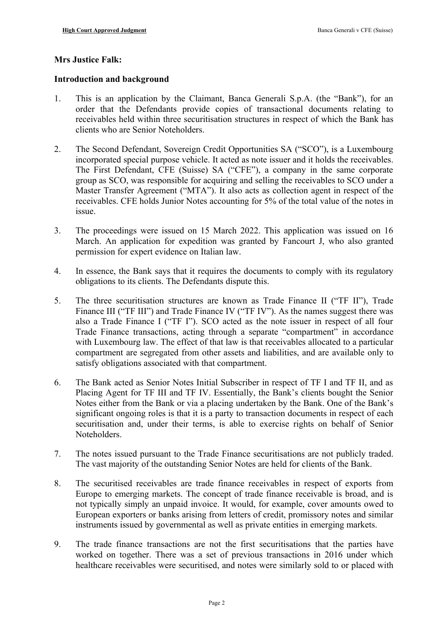## **Mrs Justice Falk:**

## **Introduction and background**

- 1. This is an application by the Claimant, Banca Generali S.p.A. (the "Bank"), for an order that the Defendants provide copies of transactional documents relating to receivables held within three securitisation structures in respect of which the Bank has clients who are Senior Noteholders.
- 2. The Second Defendant, Sovereign Credit Opportunities SA ("SCO"), is a Luxembourg incorporated special purpose vehicle. It acted as note issuer and it holds the receivables. The First Defendant, CFE (Suisse) SA ("CFE"), a company in the same corporate group as SCO, was responsible for acquiring and selling the receivables to SCO under a Master Transfer Agreement ("MTA"). It also acts as collection agent in respect of the receivables. CFE holds Junior Notes accounting for 5% of the total value of the notes in issue.
- 3. The proceedings were issued on 15 March 2022. This application was issued on 16 March. An application for expedition was granted by Fancourt J, who also granted permission for expert evidence on Italian law.
- 4. In essence, the Bank says that it requires the documents to comply with its regulatory obligations to its clients. The Defendants dispute this.
- 5. The three securitisation structures are known as Trade Finance II ("TF II"), Trade Finance III ("TF III") and Trade Finance IV ("TF IV"). As the names suggest there was also a Trade Finance I ("TF I"). SCO acted as the note issuer in respect of all four Trade Finance transactions, acting through a separate "compartment" in accordance with Luxembourg law. The effect of that law is that receivables allocated to a particular compartment are segregated from other assets and liabilities, and are available only to satisfy obligations associated with that compartment.
- 6. The Bank acted as Senior Notes Initial Subscriber in respect of TF I and TF II, and as Placing Agent for TF III and TF IV. Essentially, the Bank's clients bought the Senior Notes either from the Bank or via a placing undertaken by the Bank. One of the Bank's significant ongoing roles is that it is a party to transaction documents in respect of each securitisation and, under their terms, is able to exercise rights on behalf of Senior Noteholders.
- 7. The notes issued pursuant to the Trade Finance securitisations are not publicly traded. The vast majority of the outstanding Senior Notes are held for clients of the Bank.
- 8. The securitised receivables are trade finance receivables in respect of exports from Europe to emerging markets. The concept of trade finance receivable is broad, and is not typically simply an unpaid invoice. It would, for example, cover amounts owed to European exporters or banks arising from letters of credit, promissory notes and similar instruments issued by governmental as well as private entities in emerging markets.
- 9. The trade finance transactions are not the first securitisations that the parties have worked on together. There was a set of previous transactions in 2016 under which healthcare receivables were securitised, and notes were similarly sold to or placed with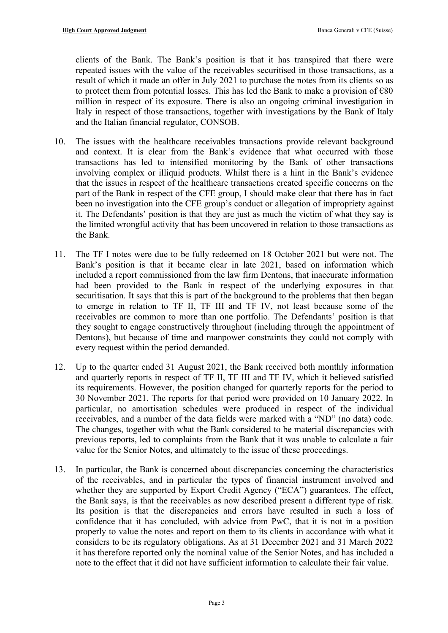clients of the Bank. The Bank's position is that it has transpired that there were repeated issues with the value of the receivables securitised in those transactions, as a result of which it made an offer in July 2021 to purchase the notes from its clients so as to protect them from potential losses. This has led the Bank to make a provision of  $\epsilon$ 80 million in respect of its exposure. There is also an ongoing criminal investigation in Italy in respect of those transactions, together with investigations by the Bank of Italy and the Italian financial regulator, CONSOB.

- 10. The issues with the healthcare receivables transactions provide relevant background and context. It is clear from the Bank's evidence that what occurred with those transactions has led to intensified monitoring by the Bank of other transactions involving complex or illiquid products. Whilst there is a hint in the Bank's evidence that the issues in respect of the healthcare transactions created specific concerns on the part of the Bank in respect of the CFE group, I should make clear that there has in fact been no investigation into the CFE group's conduct or allegation of impropriety against it. The Defendants' position is that they are just as much the victim of what they say is the limited wrongful activity that has been uncovered in relation to those transactions as the Bank.
- 11. The TF I notes were due to be fully redeemed on 18 October 2021 but were not. The Bank's position is that it became clear in late 2021, based on information which included a report commissioned from the law firm Dentons, that inaccurate information had been provided to the Bank in respect of the underlying exposures in that securitisation. It says that this is part of the background to the problems that then began to emerge in relation to TF II, TF III and TF IV, not least because some of the receivables are common to more than one portfolio. The Defendants' position is that they sought to engage constructively throughout (including through the appointment of Dentons), but because of time and manpower constraints they could not comply with every request within the period demanded.
- 12. Up to the quarter ended 31 August 2021, the Bank received both monthly information and quarterly reports in respect of TF II, TF III and TF IV, which it believed satisfied its requirements. However, the position changed for quarterly reports for the period to 30 November 2021. The reports for that period were provided on 10 January 2022. In particular, no amortisation schedules were produced in respect of the individual receivables, and a number of the data fields were marked with a "ND" (no data) code. The changes, together with what the Bank considered to be material discrepancies with previous reports, led to complaints from the Bank that it was unable to calculate a fair value for the Senior Notes, and ultimately to the issue of these proceedings.
- 13. In particular, the Bank is concerned about discrepancies concerning the characteristics of the receivables, and in particular the types of financial instrument involved and whether they are supported by Export Credit Agency ("ECA") guarantees. The effect, the Bank says, is that the receivables as now described present a different type of risk. Its position is that the discrepancies and errors have resulted in such a loss of confidence that it has concluded, with advice from PwC, that it is not in a position properly to value the notes and report on them to its clients in accordance with what it considers to be its regulatory obligations. As at 31 December 2021 and 31 March 2022 it has therefore reported only the nominal value of the Senior Notes, and has included a note to the effect that it did not have sufficient information to calculate their fair value.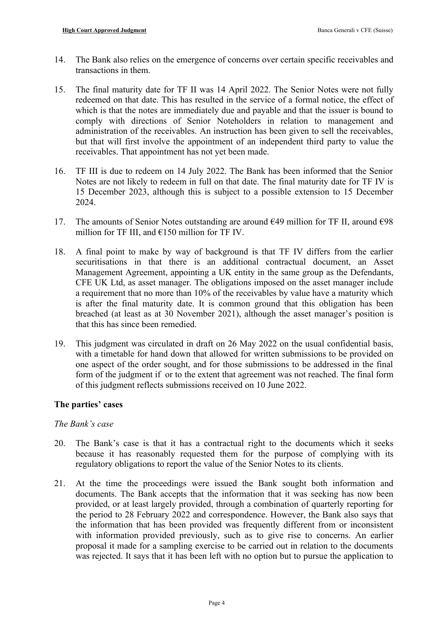- 14. The Bank also relies on the emergence of concerns over certain specific receivables and transactions in them.
- 15. The final maturity date for TF II was 14 April 2022. The Senior Notes were not fully redeemed on that date. This has resulted in the service of a formal notice, the effect of which is that the notes are immediately due and payable and that the issuer is bound to comply with directions of Senior Noteholders in relation to management and administration of the receivables. An instruction has been given to sell the receivables, but that will first involve the appointment of an independent third party to value the receivables. That appointment has not yet been made.
- 16. TF III is due to redeem on 14 July 2022. The Bank has been informed that the Senior Notes are not likely to redeem in full on that date. The final maturity date for TF IV is 15 December 2023, although this is subject to a possible extension to 15 December 2024.
- 17. The amounts of Senior Notes outstanding are around  $\epsilon$ 49 million for TF II, around  $\epsilon$ 98 million for TF III, and  $\epsilon$ 150 million for TF IV.
- 18. A final point to make by way of background is that TF IV differs from the earlier securitisations in that there is an additional contractual document, an Asset Management Agreement, appointing a UK entity in the same group as the Defendants, CFE UK Ltd, as asset manager. The obligations imposed on the asset manager include a requirement that no more than 10% of the receivables by value have a maturity which is after the final maturity date. It is common ground that this obligation has been breached (at least as at 30 November 2021), although the asset manager's position is that this has since been remedied.
- 19. This judgment was circulated in draft on 26 May 2022 on the usual confidential basis, with a timetable for hand down that allowed for written submissions to be provided on one aspect of the order sought, and for those submissions to be addressed in the final form of the judgment if or to the extent that agreement was not reached. The final form of this judgment reflects submissions received on 10 June 2022.

## **The parties' cases**

## *The Bank's case*

- 20. The Bank's case is that it has a contractual right to the documents which it seeks because it has reasonably requested them for the purpose of complying with its regulatory obligations to report the value of the Senior Notes to its clients.
- 21. At the time the proceedings were issued the Bank sought both information and documents. The Bank accepts that the information that it was seeking has now been provided, or at least largely provided, through a combination of quarterly reporting for the period to 28 February 2022 and correspondence. However, the Bank also says that the information that has been provided was frequently different from or inconsistent with information provided previously, such as to give rise to concerns. An earlier proposal it made for a sampling exercise to be carried out in relation to the documents was rejected. It says that it has been left with no option but to pursue the application to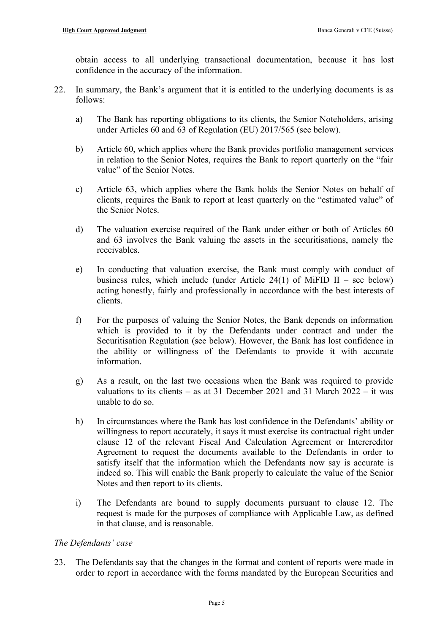obtain access to all underlying transactional documentation, because it has lost confidence in the accuracy of the information.

- 22. In summary, the Bank's argument that it is entitled to the underlying documents is as follows:
	- a) The Bank has reporting obligations to its clients, the Senior Noteholders, arising under Articles 60 and 63 of Regulation (EU) 2017/565 (see below).
	- b) Article 60, which applies where the Bank provides portfolio management services in relation to the Senior Notes, requires the Bank to report quarterly on the "fair value" of the Senior Notes.
	- c) Article 63, which applies where the Bank holds the Senior Notes on behalf of clients, requires the Bank to report at least quarterly on the "estimated value" of the Senior Notes.
	- d) The valuation exercise required of the Bank under either or both of Articles 60 and 63 involves the Bank valuing the assets in the securitisations, namely the receivables.
	- e) In conducting that valuation exercise, the Bank must comply with conduct of business rules, which include (under Article 24(1) of MiFID II – see below) acting honestly, fairly and professionally in accordance with the best interests of clients.
	- f) For the purposes of valuing the Senior Notes, the Bank depends on information which is provided to it by the Defendants under contract and under the Securitisation Regulation (see below). However, the Bank has lost confidence in the ability or willingness of the Defendants to provide it with accurate information.
	- g) As a result, on the last two occasions when the Bank was required to provide valuations to its clients – as at 31 December 2021 and 31 March 2022 – it was unable to do so.
	- h) In circumstances where the Bank has lost confidence in the Defendants' ability or willingness to report accurately, it says it must exercise its contractual right under clause 12 of the relevant Fiscal And Calculation Agreement or Intercreditor Agreement to request the documents available to the Defendants in order to satisfy itself that the information which the Defendants now say is accurate is indeed so. This will enable the Bank properly to calculate the value of the Senior Notes and then report to its clients.
	- i) The Defendants are bound to supply documents pursuant to clause 12. The request is made for the purposes of compliance with Applicable Law, as defined in that clause, and is reasonable.

## *The Defendants' case*

23. The Defendants say that the changes in the format and content of reports were made in order to report in accordance with the forms mandated by the European Securities and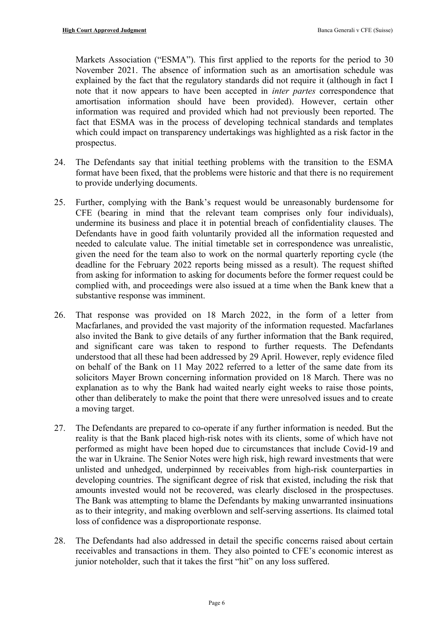Markets Association ("ESMA"). This first applied to the reports for the period to 30 November 2021. The absence of information such as an amortisation schedule was explained by the fact that the regulatory standards did not require it (although in fact I note that it now appears to have been accepted in *inter partes* correspondence that amortisation information should have been provided). However, certain other information was required and provided which had not previously been reported. The fact that ESMA was in the process of developing technical standards and templates which could impact on transparency undertakings was highlighted as a risk factor in the prospectus.

- 24. The Defendants say that initial teething problems with the transition to the ESMA format have been fixed, that the problems were historic and that there is no requirement to provide underlying documents.
- 25. Further, complying with the Bank's request would be unreasonably burdensome for CFE (bearing in mind that the relevant team comprises only four individuals), undermine its business and place it in potential breach of confidentiality clauses. The Defendants have in good faith voluntarily provided all the information requested and needed to calculate value. The initial timetable set in correspondence was unrealistic, given the need for the team also to work on the normal quarterly reporting cycle (the deadline for the February 2022 reports being missed as a result). The request shifted from asking for information to asking for documents before the former request could be complied with, and proceedings were also issued at a time when the Bank knew that a substantive response was imminent.
- <span id="page-5-0"></span>26. That response was provided on 18 March 2022, in the form of a letter from Macfarlanes, and provided the vast majority of the information requested. Macfarlanes also invited the Bank to give details of any further information that the Bank required, and significant care was taken to respond to further requests. The Defendants understood that all these had been addressed by 29 April. However, reply evidence filed on behalf of the Bank on 11 May 2022 referred to a letter of the same date from its solicitors Mayer Brown concerning information provided on 18 March. There was no explanation as to why the Bank had waited nearly eight weeks to raise those points, other than deliberately to make the point that there were unresolved issues and to create a moving target.
- 27. The Defendants are prepared to co-operate if any further information is needed. But the reality is that the Bank placed high-risk notes with its clients, some of which have not performed as might have been hoped due to circumstances that include Covid-19 and the war in Ukraine. The Senior Notes were high risk, high reward investments that were unlisted and unhedged, underpinned by receivables from high-risk counterparties in developing countries. The significant degree of risk that existed, including the risk that amounts invested would not be recovered, was clearly disclosed in the prospectuses. The Bank was attempting to blame the Defendants by making unwarranted insinuations as to their integrity, and making overblown and self-serving assertions. Its claimed total loss of confidence was a disproportionate response.
- 28. The Defendants had also addressed in detail the specific concerns raised about certain receivables and transactions in them. They also pointed to CFE's economic interest as junior noteholder, such that it takes the first "hit" on any loss suffered.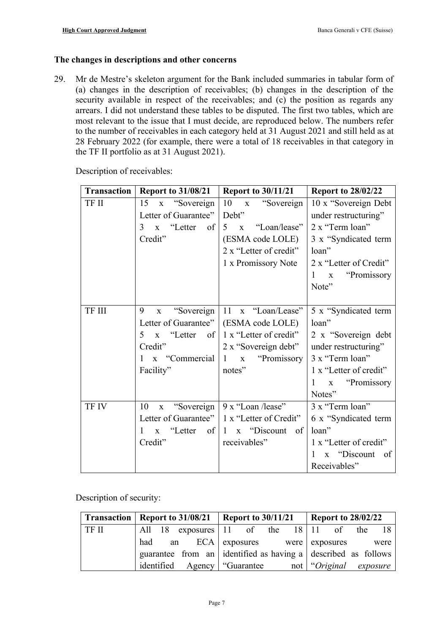## **The changes in descriptions and other concerns**

29. Mr de Mestre's skeleton argument for the Bank included summaries in tabular form of (a) changes in the description of receivables; (b) changes in the description of the security available in respect of the receivables; and (c) the position as regards any arrears. I did not understand these tables to be disputed. The first two tables, which are most relevant to the issue that I must decide, are reproduced below. The numbers refer to the number of receivables in each category held at 31 August 2021 and still held as at 28 February 2022 (for example, there were a total of 18 receivables in that category in the TF II portfolio as at 31 August 2021).

| Transaction | <b>Report to 31/08/21</b>           | <b>Report to 30/11/21</b>         | <b>Report to 28/02/22</b>        |
|-------------|-------------------------------------|-----------------------------------|----------------------------------|
| TF II       | 15<br>x "Sovereign                  | 10<br>"Sovereign"<br>$\mathbf{X}$ | 10 x "Sovereign Debt             |
|             | Letter of Guarantee"                | Debt"                             | under restructuring"             |
|             | "Letter<br>of<br>3<br>$\mathbf{x}$  | "Loan/lease"<br>$5 \times$        | 2 x "Term loan"                  |
|             | Credit"                             | (ESMA code LOLE)                  | 3 x "Syndicated term             |
|             |                                     | 2 x "Letter of credit"            | loan"                            |
|             |                                     | 1 x Promissory Note               | 2 x "Letter of Credit"           |
|             |                                     |                                   | "Promissory"<br>1<br>$\mathbf X$ |
|             |                                     |                                   | Note"                            |
|             |                                     |                                   |                                  |
| TF III      | 9<br>"Sovereign"<br>$\mathbf X$     | 11 x "Loan/Lease"                 | 5 x "Syndicated term             |
|             | Letter of Guarantee"                | (ESMA code LOLE)                  | loan"                            |
|             | x "Letter<br>$\circ$ of<br>5        | 1 x "Letter of credit"            | 2 x "Sovereign debt              |
|             | Credit"                             | 2 x "Sovereign debt"              | under restructuring"             |
|             | x "Commercial                       | "Promissory<br>1<br>$\mathbf{X}$  | 3 x "Term loan"                  |
|             | Facility"                           | notes"                            | 1 x "Letter of credit"           |
|             |                                     |                                   | "Promissory"<br>1<br>$\mathbf X$ |
|             |                                     |                                   | Notes"                           |
| TF IV       | 10<br>x "Sovereign                  | 9 x "Loan /lease"                 | 3 x "Term loan"                  |
|             | Letter of Guarantee"                | 1 x "Letter of Credit"            | 6 x "Syndicated term             |
|             | "Letter"<br>of<br>1<br>$\mathbf{x}$ | 1 x "Discount"<br>of              | loan"                            |
|             | Credit"                             | receivables"                      | 1 x "Letter of credit"           |
|             |                                     |                                   | x "Discount<br>1<br>of           |
|             |                                     |                                   | Receivables"                     |

Description of receivables:

Description of security:

|       | Transaction   Report to $31/08/21$   Report to $30/11/21$ |                                            | <b>Report to 28/02/22</b>                                     |
|-------|-----------------------------------------------------------|--------------------------------------------|---------------------------------------------------------------|
| TF II |                                                           | All 18 exposures 11 of the $18 \mid 11$ of | the                                                           |
|       | had                                                       | an ECA exposures were exposures            | were                                                          |
|       |                                                           |                                            | guarantee from an identified as having a described as follows |
|       | identified Agency   "Guarantee"                           |                                            | not consider interval contract to exposure                    |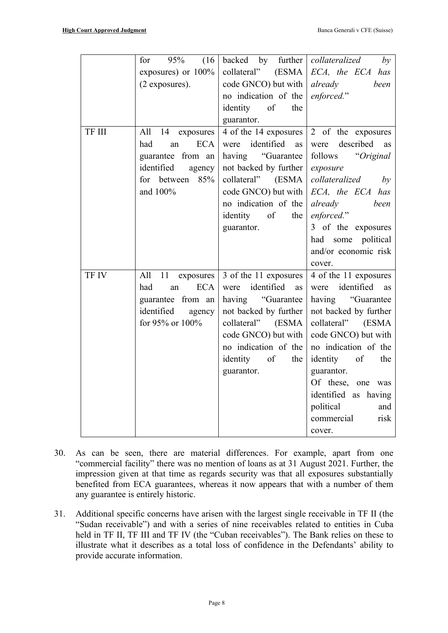|        | (16)<br>for<br>95%      | backed by<br>further $\vert$ | collateralized<br>by                        |
|--------|-------------------------|------------------------------|---------------------------------------------|
|        | exposures) or 100%      |                              | collateral" $(ESMA \nvert ECA, the ECA has$ |
|        | (2 exposures).          | code GNCO) but with          | already<br>been                             |
|        |                         | no indication of the         | enforced."                                  |
|        |                         | identity of<br>the           |                                             |
|        |                         | guarantor.                   |                                             |
| TF III | All<br>14 exposures     | 4 of the 14 exposures        | 2 of the exposures                          |
|        | <b>ECA</b><br>had<br>an | were identified<br>as        | were described<br>as                        |
|        | guarantee from an       | having "Guarantee            | follows "Original"                          |
|        | identified<br>agency    | not backed by further        | exposure                                    |
|        | 85%<br>for between      | collateral" (ESMA            | collateralized by                           |
|        | and 100%                | code GNCO) but with          | ECA, the ECA has                            |
|        |                         | no indication of the         | already<br>been                             |
|        |                         | identity of<br>the           | enforced."                                  |
|        |                         | guarantor.                   | 3 of the exposures                          |
|        |                         |                              | political<br>had<br>some                    |
|        |                         |                              | and/or economic risk                        |
|        |                         |                              | cover.                                      |
| TF IV  | All<br>11 exposures     | 3 of the 11 exposures        | 4 of the 11 exposures                       |
|        | had<br><b>ECA</b><br>an | were identified<br>as        | were identified<br>as                       |
|        | guarantee from an       | having "Guarantee            | having "Guarantee                           |
|        | identified<br>agency    | not backed by further        | not backed by further                       |
|        | for 95% or 100%         | collateral" (ESMA            | collateral" (ESMA                           |
|        |                         | code GNCO) but with          | code GNCO) but with                         |
|        |                         | no indication of the         | no indication of the                        |
|        |                         | identity of<br>the           | identity of<br>the                          |
|        |                         | guarantor.                   | guarantor.                                  |
|        |                         |                              | Of these, one was                           |
|        |                         |                              | identified as having                        |
|        |                         |                              | political<br>and                            |
|        |                         |                              | commercial<br>risk                          |
|        |                         |                              | cover.                                      |

- 30. As can be seen, there are material differences. For example, apart from one "commercial facility" there was no mention of loans as at 31 August 2021. Further, the impression given at that time as regards security was that all exposures substantially benefited from ECA guarantees, whereas it now appears that with a number of them any guarantee is entirely historic.
- 31. Additional specific concerns have arisen with the largest single receivable in TF II (the "Sudan receivable") and with a series of nine receivables related to entities in Cuba held in TF II, TF III and TF IV (the "Cuban receivables"). The Bank relies on these to illustrate what it describes as a total loss of confidence in the Defendants' ability to provide accurate information.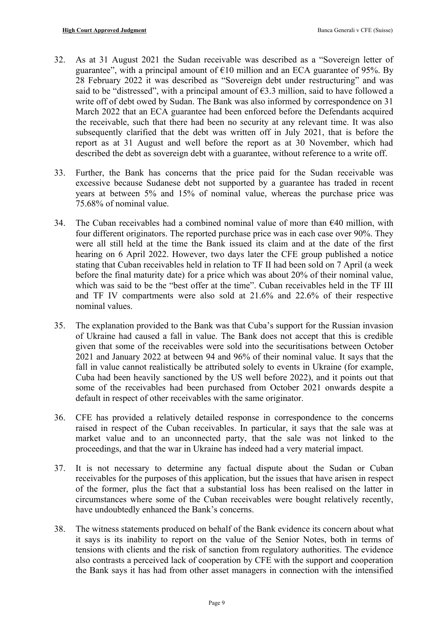- 32. As at 31 August 2021 the Sudan receivable was described as a "Sovereign letter of guarantee", with a principal amount of  $E10$  million and an ECA guarantee of 95%. By 28 February 2022 it was described as "Sovereign debt under restructuring" and was said to be "distressed", with a principal amount of  $63.3$  million, said to have followed a write off of debt owed by Sudan. The Bank was also informed by correspondence on 31 March 2022 that an ECA guarantee had been enforced before the Defendants acquired the receivable, such that there had been no security at any relevant time. It was also subsequently clarified that the debt was written off in July 2021, that is before the report as at 31 August and well before the report as at 30 November, which had described the debt as sovereign debt with a guarantee, without reference to a write off.
- 33. Further, the Bank has concerns that the price paid for the Sudan receivable was excessive because Sudanese debt not supported by a guarantee has traded in recent years at between 5% and 15% of nominal value, whereas the purchase price was 75.68% of nominal value.
- 34. The Cuban receivables had a combined nominal value of more than  $640$  million, with four different originators. The reported purchase price was in each case over 90%. They were all still held at the time the Bank issued its claim and at the date of the first hearing on 6 April 2022. However, two days later the CFE group published a notice stating that Cuban receivables held in relation to TF II had been sold on 7 April (a week before the final maturity date) for a price which was about 20% of their nominal value, which was said to be the "best offer at the time". Cuban receivables held in the TF III and TF IV compartments were also sold at 21.6% and 22.6% of their respective nominal values.
- 35. The explanation provided to the Bank was that Cuba's support for the Russian invasion of Ukraine had caused a fall in value. The Bank does not accept that this is credible given that some of the receivables were sold into the securitisations between October 2021 and January 2022 at between 94 and 96% of their nominal value. It says that the fall in value cannot realistically be attributed solely to events in Ukraine (for example, Cuba had been heavily sanctioned by the US well before 2022), and it points out that some of the receivables had been purchased from October 2021 onwards despite a default in respect of other receivables with the same originator.
- 36. CFE has provided a relatively detailed response in correspondence to the concerns raised in respect of the Cuban receivables. In particular, it says that the sale was at market value and to an unconnected party, that the sale was not linked to the proceedings, and that the war in Ukraine has indeed had a very material impact.
- 37. It is not necessary to determine any factual dispute about the Sudan or Cuban receivables for the purposes of this application, but the issues that have arisen in respect of the former, plus the fact that a substantial loss has been realised on the latter in circumstances where some of the Cuban receivables were bought relatively recently, have undoubtedly enhanced the Bank's concerns.
- 38. The witness statements produced on behalf of the Bank evidence its concern about what it says is its inability to report on the value of the Senior Notes, both in terms of tensions with clients and the risk of sanction from regulatory authorities. The evidence also contrasts a perceived lack of cooperation by CFE with the support and cooperation the Bank says it has had from other asset managers in connection with the intensified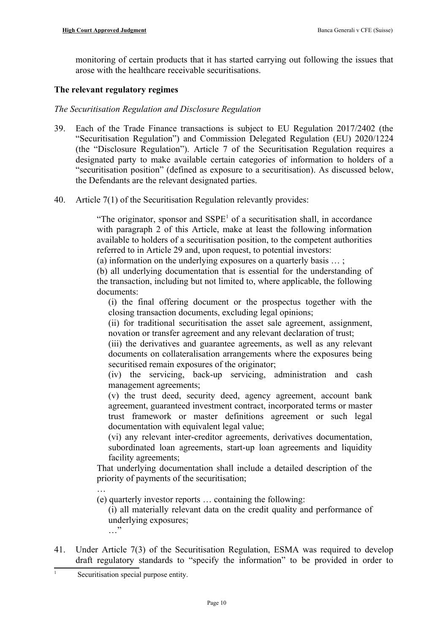monitoring of certain products that it has started carrying out following the issues that arose with the healthcare receivable securitisations.

## **The relevant regulatory regimes**

## *The Securitisation Regulation and Disclosure Regulation*

- 39. Each of the Trade Finance transactions is subject to EU Regulation 2017/2402 (the "Securitisation Regulation") and Commission Delegated Regulation (EU) 2020/1224 (the "Disclosure Regulation"). Article 7 of the Securitisation Regulation requires a designated party to make available certain categories of information to holders of a "securitisation position" (defined as exposure to a securitisation). As discussed below, the Defendants are the relevant designated parties.
- <span id="page-9-2"></span>40. Article 7(1) of the Securitisation Regulation relevantly provides:

<span id="page-9-0"></span>"The originator, sponsor and  $SSPE<sup>1</sup>$  $SSPE<sup>1</sup>$  $SSPE<sup>1</sup>$  of a securitisation shall, in accordance with paragraph 2 of this Article, make at least the following information available to holders of a securitisation position, to the competent authorities referred to in Article 29 and, upon request, to potential investors:

(a) information on the underlying exposures on a quarterly basis … ;

(b) all underlying documentation that is essential for the understanding of the transaction, including but not limited to, where applicable, the following documents:

(i) the final offering document or the prospectus together with the closing transaction documents, excluding legal opinions;

(ii) for traditional securitisation the asset sale agreement, assignment, novation or transfer agreement and any relevant declaration of trust;

(iii) the derivatives and guarantee agreements, as well as any relevant documents on collateralisation arrangements where the exposures being securitised remain exposures of the originator;

(iv) the servicing, back-up servicing, administration and cash management agreements;

(v) the trust deed, security deed, agency agreement, account bank agreement, guaranteed investment contract, incorporated terms or master trust framework or master definitions agreement or such legal documentation with equivalent legal value;

(vi) any relevant inter-creditor agreements, derivatives documentation, subordinated loan agreements, start-up loan agreements and liquidity facility agreements;

That underlying documentation shall include a detailed description of the priority of payments of the securitisation; .<br>…

(e) quarterly investor reports … containing the following:

(i) all materially relevant data on the credit quality and performance of underlying exposures; …"

41. Under Article 7(3) of the Securitisation Regulation, ESMA was required to develop draft regulatory standards to "specify the information" to be provided in order to

<span id="page-9-1"></span> $\overline{1}$  $\overline{1}$  $\overline{1}$ Securitisation special purpose entity.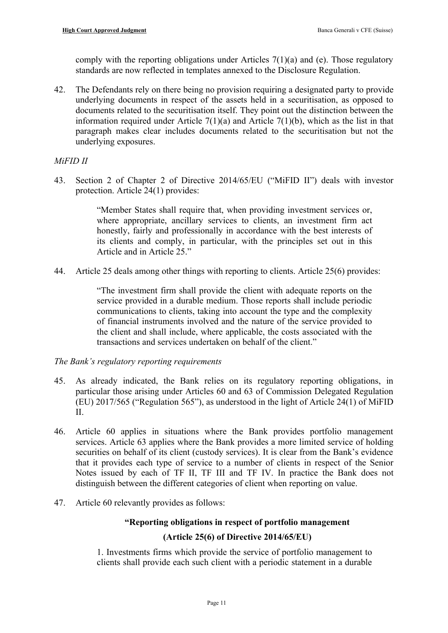comply with the reporting obligations under Articles 7(1)(a) and (e). Those regulatory standards are now reflected in templates annexed to the Disclosure Regulation.

42. The Defendants rely on there being no provision requiring a designated party to provide underlying documents in respect of the assets held in a securitisation, as opposed to documents related to the securitisation itself. They point out the distinction between the information required under Article  $7(1)(a)$  and Article  $7(1)(b)$ , which as the list in that paragraph makes clear includes documents related to the securitisation but not the underlying exposures.

## *MiFID II*

43. Section 2 of Chapter 2 of Directive 2014/65/EU ("MiFID II") deals with investor protection. Article 24(1) provides:

> "Member States shall require that, when providing investment services or, where appropriate, ancillary services to clients, an investment firm act honestly, fairly and professionally in accordance with the best interests of its clients and comply, in particular, with the principles set out in this Article and in Article 25."

44. Article 25 deals among other things with reporting to clients. Article 25(6) provides:

"The investment firm shall provide the client with adequate reports on the service provided in a durable medium. Those reports shall include periodic communications to clients, taking into account the type and the complexity of financial instruments involved and the nature of the service provided to the client and shall include, where applicable, the costs associated with the transactions and services undertaken on behalf of the client."

*The Bank's regulatory reporting requirements*

- 45. As already indicated, the Bank relies on its regulatory reporting obligations, in particular those arising under Articles 60 and 63 of Commission Delegated Regulation (EU) 2017/565 ("Regulation 565"), as understood in the light of Article 24(1) of MiFID  $II$ .
- 46. Article 60 applies in situations where the Bank provides portfolio management services. Article 63 applies where the Bank provides a more limited service of holding securities on behalf of its client (custody services). It is clear from the Bank's evidence that it provides each type of service to a number of clients in respect of the Senior Notes issued by each of TF II, TF III and TF IV. In practice the Bank does not distinguish between the different categories of client when reporting on value.
- 47. Article 60 relevantly provides as follows:

## **"Reporting obligations in respect of portfolio management**

## **(Article 25(6) of Directive 2014/65/EU)**

1. Investments firms which provide the service of portfolio management to clients shall provide each such client with a periodic statement in a durable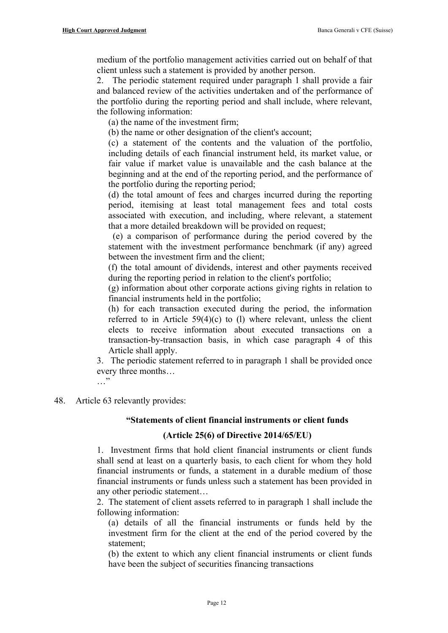medium of the portfolio management activities carried out on behalf of that client unless such a statement is provided by another person.

2. The periodic statement required under paragraph 1 shall provide a fair and balanced review of the activities undertaken and of the performance of the portfolio during the reporting period and shall include, where relevant, the following information:

(a) the name of the investment firm;

(b) the name or other designation of the client's account;

(c) a statement of the contents and the valuation of the portfolio, including details of each financial instrument held, its market value, or fair value if market value is unavailable and the cash balance at the beginning and at the end of the reporting period, and the performance of the portfolio during the reporting period;

(d) the total amount of fees and charges incurred during the reporting period, itemising at least total management fees and total costs associated with execution, and including, where relevant, a statement that a more detailed breakdown will be provided on request;

 (e) a comparison of performance during the period covered by the statement with the investment performance benchmark (if any) agreed between the investment firm and the client;

(f) the total amount of dividends, interest and other payments received during the reporting period in relation to the client's portfolio;

(g) information about other corporate actions giving rights in relation to financial instruments held in the portfolio;

(h) for each transaction executed during the period, the information referred to in Article 59(4)(c) to (l) where relevant, unless the client elects to receive information about executed transactions on a transaction-by-transaction basis, in which case paragraph 4 of this Article shall apply.

3. The periodic statement referred to in paragraph 1 shall be provided once every three months…

 $\cdots$ 

48. Article 63 relevantly provides:

# **"Statements of client financial instruments or client funds**

# **(Article 25(6) of Directive 2014/65/EU)**

1. Investment firms that hold client financial instruments or client funds shall send at least on a quarterly basis, to each client for whom they hold financial instruments or funds, a statement in a durable medium of those financial instruments or funds unless such a statement has been provided in any other periodic statement…

2. The statement of client assets referred to in paragraph 1 shall include the following information:

(a) details of all the financial instruments or funds held by the investment firm for the client at the end of the period covered by the statement;

(b) the extent to which any client financial instruments or client funds have been the subject of securities financing transactions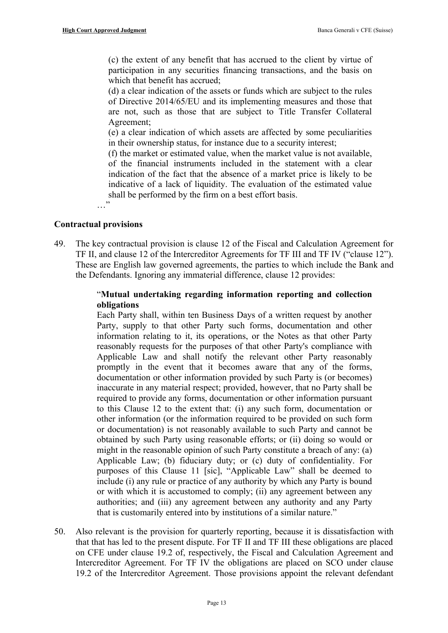(c) the extent of any benefit that has accrued to the client by virtue of participation in any securities financing transactions, and the basis on which that benefit has accrued;

(d) a clear indication of the assets or funds which are subject to the rules of Directive 2014/65/EU and its implementing measures and those that are not, such as those that are subject to Title Transfer Collateral Agreement;

(e) a clear indication of which assets are affected by some peculiarities in their ownership status, for instance due to a security interest;

(f) the market or estimated value, when the market value is not available, of the financial instruments included in the statement with a clear indication of the fact that the absence of a market price is likely to be indicative of a lack of liquidity. The evaluation of the estimated value shall be performed by the firm on a best effort basis.

…"

## **Contractual provisions**

49. The key contractual provision is clause 12 of the Fiscal and Calculation Agreement for TF II, and clause 12 of the Intercreditor Agreements for TF III and TF IV ("clause 12"). These are English law governed agreements, the parties to which include the Bank and the Defendants. Ignoring any immaterial difference, clause 12 provides:

## "**Mutual undertaking regarding information reporting and collection obligations**

Each Party shall, within ten Business Days of a written request by another Party, supply to that other Party such forms, documentation and other information relating to it, its operations, or the Notes as that other Party reasonably requests for the purposes of that other Party's compliance with Applicable Law and shall notify the relevant other Party reasonably promptly in the event that it becomes aware that any of the forms, documentation or other information provided by such Party is (or becomes) inaccurate in any material respect; provided, however, that no Party shall be required to provide any forms, documentation or other information pursuant to this Clause 12 to the extent that: (i) any such form, documentation or other information (or the information required to be provided on such form or documentation) is not reasonably available to such Party and cannot be obtained by such Party using reasonable efforts; or (ii) doing so would or might in the reasonable opinion of such Party constitute a breach of any: (a) Applicable Law; (b) fiduciary duty; or (c) duty of confidentiality. For purposes of this Clause 11 [sic], "Applicable Law" shall be deemed to include (i) any rule or practice of any authority by which any Party is bound or with which it is accustomed to comply; (ii) any agreement between any authorities; and (iii) any agreement between any authority and any Party that is customarily entered into by institutions of a similar nature."

50. Also relevant is the provision for quarterly reporting, because it is dissatisfaction with that that has led to the present dispute. For TF II and TF III these obligations are placed on CFE under clause 19.2 of, respectively, the Fiscal and Calculation Agreement and Intercreditor Agreement. For TF IV the obligations are placed on SCO under clause 19.2 of the Intercreditor Agreement. Those provisions appoint the relevant defendant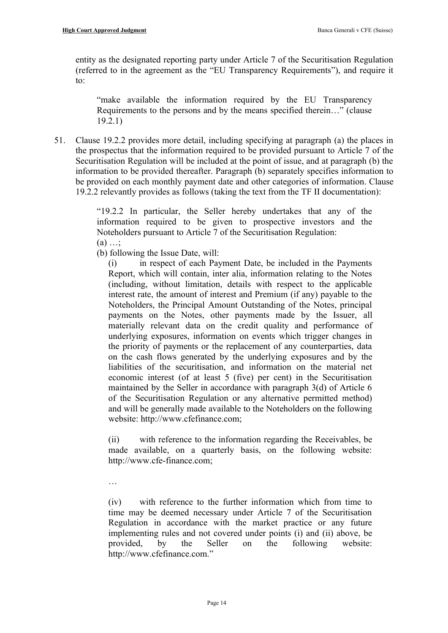entity as the designated reporting party under Article 7 of the Securitisation Regulation (referred to in the agreement as the "EU Transparency Requirements"), and require it to:

"make available the information required by the EU Transparency Requirements to the persons and by the means specified therein…" (clause 19.2.1)

<span id="page-13-0"></span>51. Clause 19.2.2 provides more detail, including specifying at paragraph (a) the places in the prospectus that the information required to be provided pursuant to Article 7 of the Securitisation Regulation will be included at the point of issue, and at paragraph (b) the information to be provided thereafter. Paragraph (b) separately specifies information to be provided on each monthly payment date and other categories of information. Clause 19.2.2 relevantly provides as follows (taking the text from the TF II documentation):

> "19.2.2 In particular, the Seller hereby undertakes that any of the information required to be given to prospective investors and the Noteholders pursuant to Article 7 of the Securitisation Regulation:

- $(a) \ldots$ ;
- (b) following the Issue Date, will:

(i) in respect of each Payment Date, be included in the Payments Report, which will contain, inter alia, information relating to the Notes (including, without limitation, details with respect to the applicable interest rate, the amount of interest and Premium (if any) payable to the Noteholders, the Principal Amount Outstanding of the Notes, principal payments on the Notes, other payments made by the Issuer, all materially relevant data on the credit quality and performance of underlying exposures, information on events which trigger changes in the priority of payments or the replacement of any counterparties, data on the cash flows generated by the underlying exposures and by the liabilities of the securitisation, and information on the material net economic interest (of at least 5 (five) per cent) in the Securitisation maintained by the Seller in accordance with paragraph 3(d) of Article 6 of the Securitisation Regulation or any alternative permitted method) and will be generally made available to the Noteholders on the following website: http://www.cfefinance.com;

(ii) with reference to the information regarding the Receivables, be made available, on a quarterly basis, on the following website: http://www.cfe-finance.com;

…

(iv) with reference to the further information which from time to time may be deemed necessary under Article 7 of the Securitisation Regulation in accordance with the market practice or any future implementing rules and not covered under points (i) and (ii) above, be provided, by the Seller on the following website: http://www.cfefinance.com."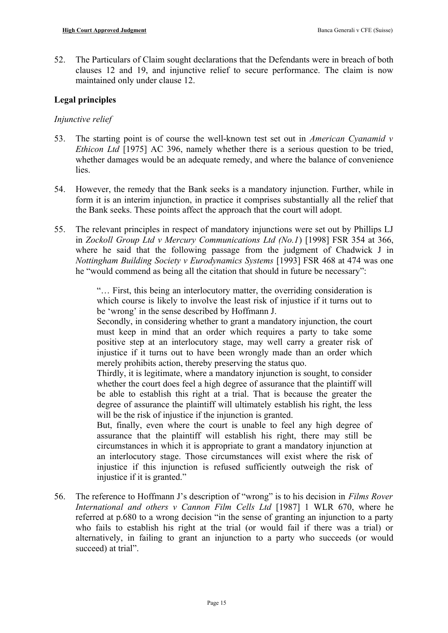52. The Particulars of Claim sought declarations that the Defendants were in breach of both clauses 12 and 19, and injunctive relief to secure performance. The claim is now maintained only under clause 12.

## **Legal principles**

## *Injunctive relief*

- 53. The starting point is of course the well-known test set out in *American Cyanamid v Ethicon Ltd* [1975] AC 396, namely whether there is a serious question to be tried, whether damages would be an adequate remedy, and where the balance of convenience **lies**
- 54. However, the remedy that the Bank seeks is a mandatory injunction. Further, while in form it is an interim injunction, in practice it comprises substantially all the relief that the Bank seeks. These points affect the approach that the court will adopt.
- 55. The relevant principles in respect of mandatory injunctions were set out by Phillips LJ in *Zockoll Group Ltd v Mercury Communications Ltd (No.1*) [1998] FSR 354 at 366, where he said that the following passage from the judgment of Chadwick J in *Nottingham Building Society v Eurodynamics Systems* [1993] FSR 468 at 474 was one he "would commend as being all the citation that should in future be necessary":

"… First, this being an interlocutory matter, the overriding consideration is which course is likely to involve the least risk of injustice if it turns out to be 'wrong' in the sense described by Hoffmann J.

Secondly, in considering whether to grant a mandatory injunction, the court must keep in mind that an order which requires a party to take some positive step at an interlocutory stage, may well carry a greater risk of injustice if it turns out to have been wrongly made than an order which merely prohibits action, thereby preserving the status quo.

Thirdly, it is legitimate, where a mandatory injunction is sought, to consider whether the court does feel a high degree of assurance that the plaintiff will be able to establish this right at a trial. That is because the greater the degree of assurance the plaintiff will ultimately establish his right, the less will be the risk of injustice if the injunction is granted.

But, finally, even where the court is unable to feel any high degree of assurance that the plaintiff will establish his right, there may still be circumstances in which it is appropriate to grant a mandatory injunction at an interlocutory stage. Those circumstances will exist where the risk of injustice if this injunction is refused sufficiently outweigh the risk of injustice if it is granted."

56. The reference to Hoffmann J's description of "wrong" is to his decision in *Films Rover International and others v Cannon Film Cells Ltd* [1987] 1 WLR 670, where he referred at p.680 to a wrong decision "in the sense of granting an injunction to a party who fails to establish his right at the trial (or would fail if there was a trial) or alternatively, in failing to grant an injunction to a party who succeeds (or would succeed) at trial".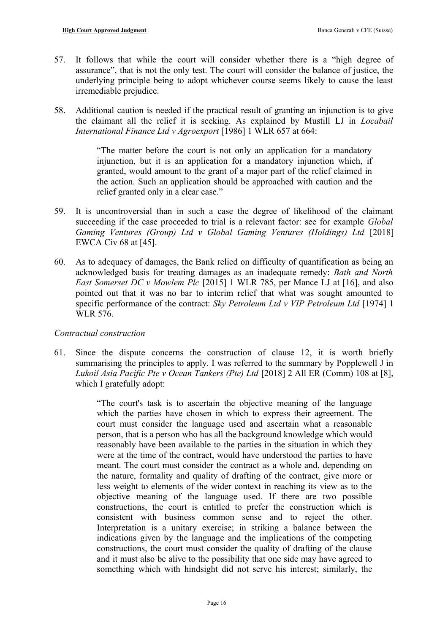- 57. It follows that while the court will consider whether there is a "high degree of assurance", that is not the only test. The court will consider the balance of justice, the underlying principle being to adopt whichever course seems likely to cause the least irremediable prejudice.
- 58. Additional caution is needed if the practical result of granting an injunction is to give the claimant all the relief it is seeking. As explained by Mustill LJ in *Locabail International Finance Ltd v Agroexport* [1986] 1 WLR 657 at 664:

"The matter before the court is not only an application for a mandatory injunction, but it is an application for a mandatory injunction which, if granted, would amount to the grant of a major part of the relief claimed in the action. Such an application should be approached with caution and the relief granted only in a clear case."

- 59. It is uncontroversial than in such a case the degree of likelihood of the claimant succeeding if the case proceeded to trial is a relevant factor: see for example *Global Gaming Ventures (Group) Ltd v Global Gaming Ventures (Holdings) Ltd* [2018] EWCA Civ 68 at [45].
- 60. As to adequacy of damages, the Bank relied on difficulty of quantification as being an acknowledged basis for treating damages as an inadequate remedy: *Bath and North East Somerset DC v Mowlem Plc* [2015] 1 WLR 785, per Mance LJ at [16], and also pointed out that it was no bar to interim relief that what was sought amounted to specific performance of the contract: *Sky Petroleum Ltd v VIP Petroleum Ltd* [1974] 1 WLR 576.

## *Contractual construction*

61. Since the dispute concerns the construction of clause 12, it is worth briefly summarising the principles to apply. I was referred to the summary by Popplewell J in *Lukoil Asia Pacific Pte v Ocean Tankers (Pte) Ltd* [2018] 2 All ER (Comm) 108 at [8], which I gratefully adopt:

> "The court's task is to ascertain the objective meaning of the language which the parties have chosen in which to express their agreement. The court must consider the language used and ascertain what a reasonable person, that is a person who has all the background knowledge which would reasonably have been available to the parties in the situation in which they were at the time of the contract, would have understood the parties to have meant. The court must consider the contract as a whole and, depending on the nature, formality and quality of drafting of the contract, give more or less weight to elements of the wider context in reaching its view as to the objective meaning of the language used. If there are two possible constructions, the court is entitled to prefer the construction which is consistent with business common sense and to reject the other. Interpretation is a unitary exercise; in striking a balance between the indications given by the language and the implications of the competing constructions, the court must consider the quality of drafting of the clause and it must also be alive to the possibility that one side may have agreed to something which with hindsight did not serve his interest; similarly, the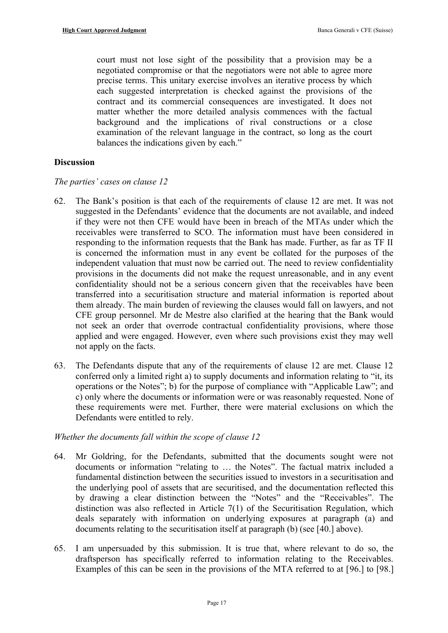court must not lose sight of the possibility that a provision may be a negotiated compromise or that the negotiators were not able to agree more precise terms. This unitary exercise involves an iterative process by which each suggested interpretation is checked against the provisions of the contract and its commercial consequences are investigated. It does not matter whether the more detailed analysis commences with the factual background and the implications of rival constructions or a close examination of the relevant language in the contract, so long as the court balances the indications given by each."

## **Discussion**

## *The parties' cases on clause 12*

- 62. The Bank's position is that each of the requirements of clause 12 are met. It was not suggested in the Defendants' evidence that the documents are not available, and indeed if they were not then CFE would have been in breach of the MTAs under which the receivables were transferred to SCO. The information must have been considered in responding to the information requests that the Bank has made. Further, as far as TF II is concerned the information must in any event be collated for the purposes of the independent valuation that must now be carried out. The need to review confidentiality provisions in the documents did not make the request unreasonable, and in any event confidentiality should not be a serious concern given that the receivables have been transferred into a securitisation structure and material information is reported about them already. The main burden of reviewing the clauses would fall on lawyers, and not CFE group personnel. Mr de Mestre also clarified at the hearing that the Bank would not seek an order that overrode contractual confidentiality provisions, where those applied and were engaged. However, even where such provisions exist they may well not apply on the facts.
- 63. The Defendants dispute that any of the requirements of clause 12 are met. Clause 12 conferred only a limited right a) to supply documents and information relating to "it, its operations or the Notes"; b) for the purpose of compliance with "Applicable Law"; and c) only where the documents or information were or was reasonably requested. None of these requirements were met. Further, there were material exclusions on which the Defendants were entitled to rely.

## *Whether the documents fall within the scope of clause 12*

- 64. Mr Goldring, for the Defendants, submitted that the documents sought were not documents or information "relating to … the Notes". The factual matrix included a fundamental distinction between the securities issued to investors in a securitisation and the underlying pool of assets that are securitised, and the documentation reflected this by drawing a clear distinction between the "Notes" and the "Receivables". The distinction was also reflected in Article 7(1) of the Securitisation Regulation, which deals separately with information on underlying exposures at paragraph (a) and documents relating to the securitisation itself at paragraph (b) (see [[40.](#page-9-2)] above).
- 65. I am unpersuaded by this submission. It is true that, where relevant to do so, the draftsperson has specifically referred to information relating to the Receivables. Examples of this can be seen in the provisions of the MTA referred to at [[96.\]](#page-22-1) to [\[98.](#page-22-0)]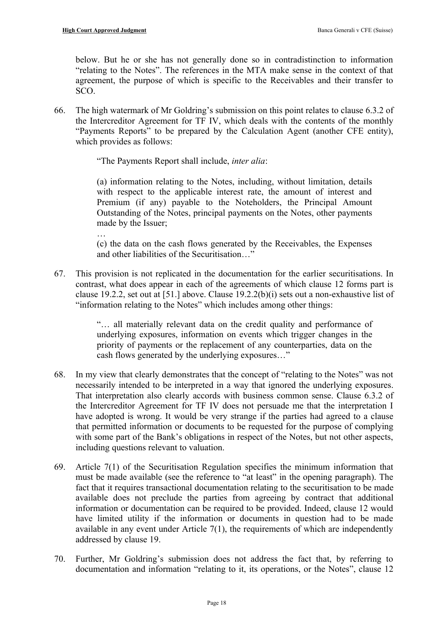below. But he or she has not generally done so in contradistinction to information "relating to the Notes". The references in the MTA make sense in the context of that agreement, the purpose of which is specific to the Receivables and their transfer to SCO.

66. The high watermark of Mr Goldring's submission on this point relates to clause 6.3.2 of the Intercreditor Agreement for TF IV, which deals with the contents of the monthly "Payments Reports" to be prepared by the Calculation Agent (another CFE entity), which provides as follows:

"The Payments Report shall include, *inter alia*:

(a) information relating to the Notes, including, without limitation, details with respect to the applicable interest rate, the amount of interest and Premium (if any) payable to the Noteholders, the Principal Amount Outstanding of the Notes, principal payments on the Notes, other payments made by the Issuer; …<br>…

(c) the data on the cash flows generated by the Receivables, the Expenses and other liabilities of the Securitisation…"

67. This provision is not replicated in the documentation for the earlier securitisations. In contrast, what does appear in each of the agreements of which clause 12 forms part is clause 19.2.2, set out at [\[51.](#page-13-0)] above. Clause 19.2.2(b)(i) sets out a non-exhaustive list of "information relating to the Notes" which includes among other things:

> "… all materially relevant data on the credit quality and performance of underlying exposures, information on events which trigger changes in the priority of payments or the replacement of any counterparties, data on the cash flows generated by the underlying exposures…"

- 68. In my view that clearly demonstrates that the concept of "relating to the Notes" was not necessarily intended to be interpreted in a way that ignored the underlying exposures. That interpretation also clearly accords with business common sense. Clause 6.3.2 of the Intercreditor Agreement for TF IV does not persuade me that the interpretation I have adopted is wrong. It would be very strange if the parties had agreed to a clause that permitted information or documents to be requested for the purpose of complying with some part of the Bank's obligations in respect of the Notes, but not other aspects, including questions relevant to valuation.
- 69. Article 7(1) of the Securitisation Regulation specifies the minimum information that must be made available (see the reference to "at least" in the opening paragraph). The fact that it requires transactional documentation relating to the securitisation to be made available does not preclude the parties from agreeing by contract that additional information or documentation can be required to be provided. Indeed, clause 12 would have limited utility if the information or documents in question had to be made available in any event under Article 7(1), the requirements of which are independently addressed by clause 19.
- 70. Further, Mr Goldring's submission does not address the fact that, by referring to documentation and information "relating to it, its operations, or the Notes", clause 12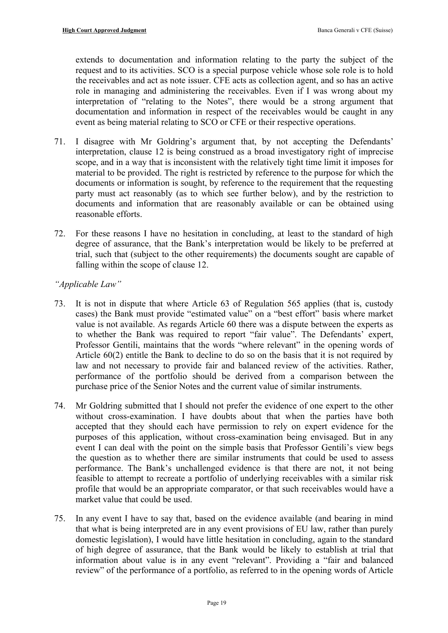extends to documentation and information relating to the party the subject of the request and to its activities. SCO is a special purpose vehicle whose sole role is to hold the receivables and act as note issuer. CFE acts as collection agent, and so has an active role in managing and administering the receivables. Even if I was wrong about my interpretation of "relating to the Notes", there would be a strong argument that documentation and information in respect of the receivables would be caught in any event as being material relating to SCO or CFE or their respective operations.

- 71. I disagree with Mr Goldring's argument that, by not accepting the Defendants' interpretation, clause 12 is being construed as a broad investigatory right of imprecise scope, and in a way that is inconsistent with the relatively tight time limit it imposes for material to be provided. The right is restricted by reference to the purpose for which the documents or information is sought, by reference to the requirement that the requesting party must act reasonably (as to which see further below), and by the restriction to documents and information that are reasonably available or can be obtained using reasonable efforts.
- 72. For these reasons I have no hesitation in concluding, at least to the standard of high degree of assurance, that the Bank's interpretation would be likely to be preferred at trial, such that (subject to the other requirements) the documents sought are capable of falling within the scope of clause 12.

## *"Applicable Law"*

- 73. It is not in dispute that where Article 63 of Regulation 565 applies (that is, custody cases) the Bank must provide "estimated value" on a "best effort" basis where market value is not available. As regards Article 60 there was a dispute between the experts as to whether the Bank was required to report "fair value". The Defendants' expert, Professor Gentili, maintains that the words "where relevant" in the opening words of Article 60(2) entitle the Bank to decline to do so on the basis that it is not required by law and not necessary to provide fair and balanced review of the activities. Rather, performance of the portfolio should be derived from a comparison between the purchase price of the Senior Notes and the current value of similar instruments.
- 74. Mr Goldring submitted that I should not prefer the evidence of one expert to the other without cross-examination. I have doubts about that when the parties have both accepted that they should each have permission to rely on expert evidence for the purposes of this application, without cross-examination being envisaged. But in any event I can deal with the point on the simple basis that Professor Gentili's view begs the question as to whether there are similar instruments that could be used to assess performance. The Bank's unchallenged evidence is that there are not, it not being feasible to attempt to recreate a portfolio of underlying receivables with a similar risk profile that would be an appropriate comparator, or that such receivables would have a market value that could be used.
- 75. In any event I have to say that, based on the evidence available (and bearing in mind that what is being interpreted are in any event provisions of EU law, rather than purely domestic legislation), I would have little hesitation in concluding, again to the standard of high degree of assurance, that the Bank would be likely to establish at trial that information about value is in any event "relevant". Providing a "fair and balanced review" of the performance of a portfolio, as referred to in the opening words of Article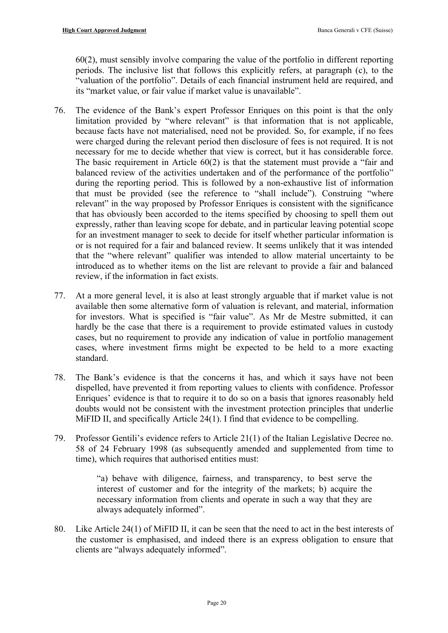60(2), must sensibly involve comparing the value of the portfolio in different reporting periods. The inclusive list that follows this explicitly refers, at paragraph (c), to the "valuation of the portfolio". Details of each financial instrument held are required, and its "market value, or fair value if market value is unavailable".

- 76. The evidence of the Bank's expert Professor Enriques on this point is that the only limitation provided by "where relevant" is that information that is not applicable, because facts have not materialised, need not be provided. So, for example, if no fees were charged during the relevant period then disclosure of fees is not required. It is not necessary for me to decide whether that view is correct, but it has considerable force. The basic requirement in Article 60(2) is that the statement must provide a "fair and balanced review of the activities undertaken and of the performance of the portfolio" during the reporting period. This is followed by a non-exhaustive list of information that must be provided (see the reference to "shall include"). Construing "where relevant" in the way proposed by Professor Enriques is consistent with the significance that has obviously been accorded to the items specified by choosing to spell them out expressly, rather than leaving scope for debate, and in particular leaving potential scope for an investment manager to seek to decide for itself whether particular information is or is not required for a fair and balanced review. It seems unlikely that it was intended that the "where relevant" qualifier was intended to allow material uncertainty to be introduced as to whether items on the list are relevant to provide a fair and balanced review, if the information in fact exists.
- 77. At a more general level, it is also at least strongly arguable that if market value is not available then some alternative form of valuation is relevant, and material, information for investors. What is specified is "fair value". As Mr de Mestre submitted, it can hardly be the case that there is a requirement to provide estimated values in custody cases, but no requirement to provide any indication of value in portfolio management cases, where investment firms might be expected to be held to a more exacting standard.
- 78. The Bank's evidence is that the concerns it has, and which it says have not been dispelled, have prevented it from reporting values to clients with confidence. Professor Enriques' evidence is that to require it to do so on a basis that ignores reasonably held doubts would not be consistent with the investment protection principles that underlie MiFID II, and specifically Article 24(1). I find that evidence to be compelling.
- 79. Professor Gentili's evidence refers to Article 21(1) of the Italian Legislative Decree no. 58 of 24 February 1998 (as subsequently amended and supplemented from time to time), which requires that authorised entities must:

"a) behave with diligence, fairness, and transparency, to best serve the interest of customer and for the integrity of the markets; b) acquire the necessary information from clients and operate in such a way that they are always adequately informed".

80. Like Article 24(1) of MiFID II, it can be seen that the need to act in the best interests of the customer is emphasised, and indeed there is an express obligation to ensure that clients are "always adequately informed".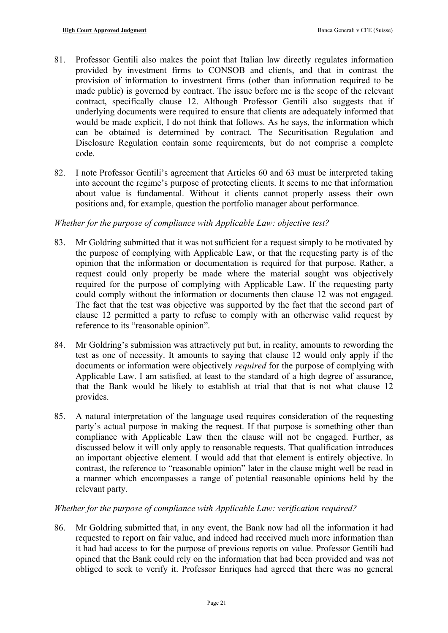- 81. Professor Gentili also makes the point that Italian law directly regulates information provided by investment firms to CONSOB and clients, and that in contrast the provision of information to investment firms (other than information required to be made public) is governed by contract. The issue before me is the scope of the relevant contract, specifically clause 12. Although Professor Gentili also suggests that if underlying documents were required to ensure that clients are adequately informed that would be made explicit, I do not think that follows. As he says, the information which can be obtained is determined by contract. The Securitisation Regulation and Disclosure Regulation contain some requirements, but do not comprise a complete code.
- 82. I note Professor Gentili's agreement that Articles 60 and 63 must be interpreted taking into account the regime's purpose of protecting clients. It seems to me that information about value is fundamental. Without it clients cannot properly assess their own positions and, for example, question the portfolio manager about performance.

## *Whether for the purpose of compliance with Applicable Law: objective test?*

- 83. Mr Goldring submitted that it was not sufficient for a request simply to be motivated by the purpose of complying with Applicable Law, or that the requesting party is of the opinion that the information or documentation is required for that purpose. Rather, a request could only properly be made where the material sought was objectively required for the purpose of complying with Applicable Law. If the requesting party could comply without the information or documents then clause 12 was not engaged. The fact that the test was objective was supported by the fact that the second part of clause 12 permitted a party to refuse to comply with an otherwise valid request by reference to its "reasonable opinion".
- 84. Mr Goldring's submission was attractively put but, in reality, amounts to rewording the test as one of necessity. It amounts to saying that clause 12 would only apply if the documents or information were objectively *required* for the purpose of complying with Applicable Law. I am satisfied, at least to the standard of a high degree of assurance, that the Bank would be likely to establish at trial that that is not what clause 12 provides.
- 85. A natural interpretation of the language used requires consideration of the requesting party's actual purpose in making the request. If that purpose is something other than compliance with Applicable Law then the clause will not be engaged. Further, as discussed below it will only apply to reasonable requests. That qualification introduces an important objective element. I would add that that element is entirely objective. In contrast, the reference to "reasonable opinion" later in the clause might well be read in a manner which encompasses a range of potential reasonable opinions held by the relevant party.

## *Whether for the purpose of compliance with Applicable Law: verification required?*

86. Mr Goldring submitted that, in any event, the Bank now had all the information it had requested to report on fair value, and indeed had received much more information than it had had access to for the purpose of previous reports on value. Professor Gentili had opined that the Bank could rely on the information that had been provided and was not obliged to seek to verify it. Professor Enriques had agreed that there was no general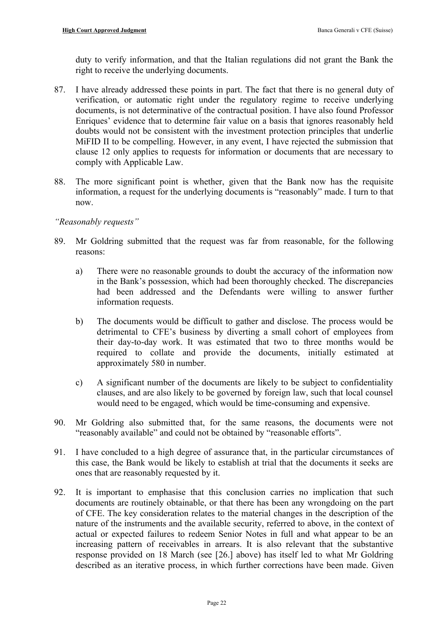duty to verify information, and that the Italian regulations did not grant the Bank the right to receive the underlying documents.

- 87. I have already addressed these points in part. The fact that there is no general duty of verification, or automatic right under the regulatory regime to receive underlying documents, is not determinative of the contractual position. I have also found Professor Enriques' evidence that to determine fair value on a basis that ignores reasonably held doubts would not be consistent with the investment protection principles that underlie MiFID II to be compelling. However, in any event, I have rejected the submission that clause 12 only applies to requests for information or documents that are necessary to comply with Applicable Law.
- 88. The more significant point is whether, given that the Bank now has the requisite information, a request for the underlying documents is "reasonably" made. I turn to that now.

## *"Reasonably requests"*

- 89. Mr Goldring submitted that the request was far from reasonable, for the following reasons:
	- a) There were no reasonable grounds to doubt the accuracy of the information now in the Bank's possession, which had been thoroughly checked. The discrepancies had been addressed and the Defendants were willing to answer further information requests.
	- b) The documents would be difficult to gather and disclose. The process would be detrimental to CFE's business by diverting a small cohort of employees from their day-to-day work. It was estimated that two to three months would be required to collate and provide the documents, initially estimated at approximately 580 in number.
	- c) A significant number of the documents are likely to be subject to confidentiality clauses, and are also likely to be governed by foreign law, such that local counsel would need to be engaged, which would be time-consuming and expensive.
- 90. Mr Goldring also submitted that, for the same reasons, the documents were not "reasonably available" and could not be obtained by "reasonable efforts".
- 91. I have concluded to a high degree of assurance that, in the particular circumstances of this case, the Bank would be likely to establish at trial that the documents it seeks are ones that are reasonably requested by it.
- 92. It is important to emphasise that this conclusion carries no implication that such documents are routinely obtainable, or that there has been any wrongdoing on the part of CFE. The key consideration relates to the material changes in the description of the nature of the instruments and the available security, referred to above, in the context of actual or expected failures to redeem Senior Notes in full and what appear to be an increasing pattern of receivables in arrears. It is also relevant that the substantive response provided on 18 March (see [\[26.\]](#page-5-0) above) has itself led to what Mr Goldring described as an iterative process, in which further corrections have been made. Given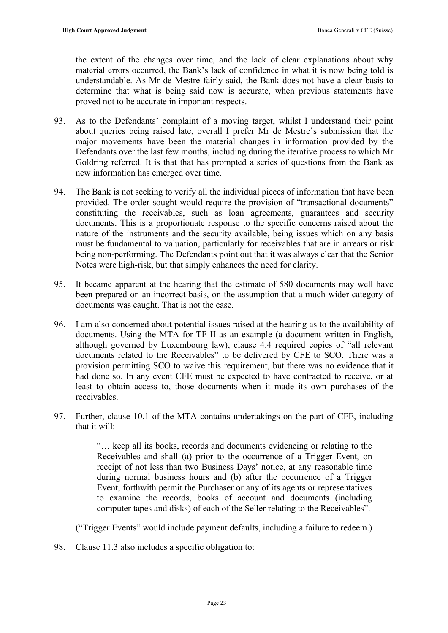the extent of the changes over time, and the lack of clear explanations about why material errors occurred, the Bank's lack of confidence in what it is now being told is understandable. As Mr de Mestre fairly said, the Bank does not have a clear basis to determine that what is being said now is accurate, when previous statements have proved not to be accurate in important respects.

- 93. As to the Defendants' complaint of a moving target, whilst I understand their point about queries being raised late, overall I prefer Mr de Mestre's submission that the major movements have been the material changes in information provided by the Defendants over the last few months, including during the iterative process to which Mr Goldring referred. It is that that has prompted a series of questions from the Bank as new information has emerged over time.
- 94. The Bank is not seeking to verify all the individual pieces of information that have been provided. The order sought would require the provision of "transactional documents" constituting the receivables, such as loan agreements, guarantees and security documents. This is a proportionate response to the specific concerns raised about the nature of the instruments and the security available, being issues which on any basis must be fundamental to valuation, particularly for receivables that are in arrears or risk being non-performing. The Defendants point out that it was always clear that the Senior Notes were high-risk, but that simply enhances the need for clarity.
- 95. It became apparent at the hearing that the estimate of 580 documents may well have been prepared on an incorrect basis, on the assumption that a much wider category of documents was caught. That is not the case.
- <span id="page-22-1"></span>96. I am also concerned about potential issues raised at the hearing as to the availability of documents. Using the MTA for TF II as an example (a document written in English, although governed by Luxembourg law), clause 4.4 required copies of "all relevant documents related to the Receivables" to be delivered by CFE to SCO. There was a provision permitting SCO to waive this requirement, but there was no evidence that it had done so. In any event CFE must be expected to have contracted to receive, or at least to obtain access to, those documents when it made its own purchases of the receivables.
- 97. Further, clause 10.1 of the MTA contains undertakings on the part of CFE, including that it will:

"… keep all its books, records and documents evidencing or relating to the Receivables and shall (a) prior to the occurrence of a Trigger Event, on receipt of not less than two Business Days' notice, at any reasonable time during normal business hours and (b) after the occurrence of a Trigger Event, forthwith permit the Purchaser or any of its agents or representatives to examine the records, books of account and documents (including computer tapes and disks) of each of the Seller relating to the Receivables".

<span id="page-22-0"></span>("Trigger Events" would include payment defaults, including a failure to redeem.)

98. Clause 11.3 also includes a specific obligation to: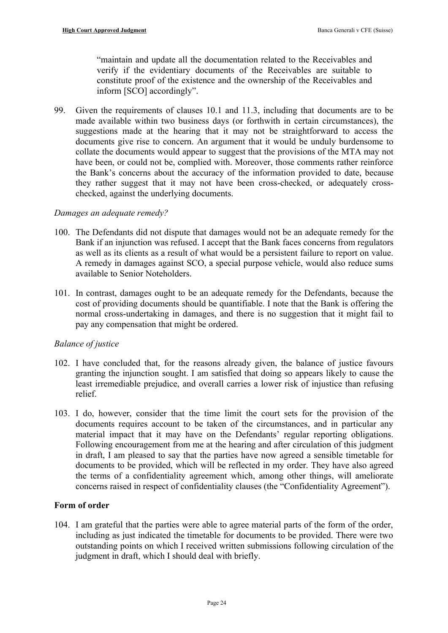"maintain and update all the documentation related to the Receivables and verify if the evidentiary documents of the Receivables are suitable to constitute proof of the existence and the ownership of the Receivables and inform [SCO] accordingly".

99. Given the requirements of clauses 10.1 and 11.3, including that documents are to be made available within two business days (or forthwith in certain circumstances), the suggestions made at the hearing that it may not be straightforward to access the documents give rise to concern. An argument that it would be unduly burdensome to collate the documents would appear to suggest that the provisions of the MTA may not have been, or could not be, complied with. Moreover, those comments rather reinforce the Bank's concerns about the accuracy of the information provided to date, because they rather suggest that it may not have been cross-checked, or adequately crosschecked, against the underlying documents.

## *Damages an adequate remedy?*

- 100. The Defendants did not dispute that damages would not be an adequate remedy for the Bank if an injunction was refused. I accept that the Bank faces concerns from regulators as well as its clients as a result of what would be a persistent failure to report on value. A remedy in damages against SCO, a special purpose vehicle, would also reduce sums available to Senior Noteholders.
- 101. In contrast, damages ought to be an adequate remedy for the Defendants, because the cost of providing documents should be quantifiable. I note that the Bank is offering the normal cross-undertaking in damages, and there is no suggestion that it might fail to pay any compensation that might be ordered.

## *Balance of justice*

- 102. I have concluded that, for the reasons already given, the balance of justice favours granting the injunction sought. I am satisfied that doing so appears likely to cause the least irremediable prejudice, and overall carries a lower risk of injustice than refusing relief.
- 103. I do, however, consider that the time limit the court sets for the provision of the documents requires account to be taken of the circumstances, and in particular any material impact that it may have on the Defendants' regular reporting obligations. Following encouragement from me at the hearing and after circulation of this judgment in draft, I am pleased to say that the parties have now agreed a sensible timetable for documents to be provided, which will be reflected in my order. They have also agreed the terms of a confidentiality agreement which, among other things, will ameliorate concerns raised in respect of confidentiality clauses (the "Confidentiality Agreement").

## **Form of order**

104. I am grateful that the parties were able to agree material parts of the form of the order, including as just indicated the timetable for documents to be provided. There were two outstanding points on which I received written submissions following circulation of the judgment in draft, which I should deal with briefly.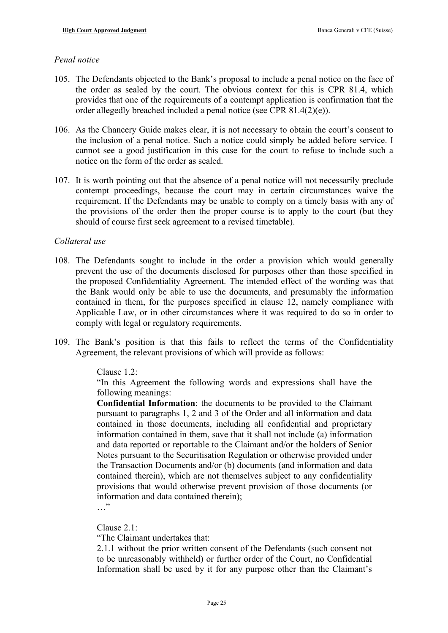#### *Penal notice*

- 105. The Defendants objected to the Bank's proposal to include a penal notice on the face of the order as sealed by the court. The obvious context for this is CPR 81.4, which provides that one of the requirements of a contempt application is confirmation that the order allegedly breached included a penal notice (see CPR 81.4(2)(e)).
- 106. As the Chancery Guide makes clear, it is not necessary to obtain the court's consent to the inclusion of a penal notice. Such a notice could simply be added before service. I cannot see a good justification in this case for the court to refuse to include such a notice on the form of the order as sealed.
- 107. It is worth pointing out that the absence of a penal notice will not necessarily preclude contempt proceedings, because the court may in certain circumstances waive the requirement. If the Defendants may be unable to comply on a timely basis with any of the provisions of the order then the proper course is to apply to the court (but they should of course first seek agreement to a revised timetable).

#### *Collateral use*

- 108. The Defendants sought to include in the order a provision which would generally prevent the use of the documents disclosed for purposes other than those specified in the proposed Confidentiality Agreement. The intended effect of the wording was that the Bank would only be able to use the documents, and presumably the information contained in them, for the purposes specified in clause 12, namely compliance with Applicable Law, or in other circumstances where it was required to do so in order to comply with legal or regulatory requirements.
- 109. The Bank's position is that this fails to reflect the terms of the Confidentiality Agreement, the relevant provisions of which will provide as follows:

## Clause 1.2:

"In this Agreement the following words and expressions shall have the following meanings:

**Confidential Information**: the documents to be provided to the Claimant pursuant to paragraphs 1, 2 and 3 of the Order and all information and data contained in those documents, including all confidential and proprietary information contained in them, save that it shall not include (a) information and data reported or reportable to the Claimant and/or the holders of Senior Notes pursuant to the Securitisation Regulation or otherwise provided under the Transaction Documents and/or (b) documents (and information and data contained therein), which are not themselves subject to any confidentiality provisions that would otherwise prevent provision of those documents (or information and data contained therein);

 $\cdots$ 

Clause  $21$ 

"The Claimant undertakes that:

2.1.1 without the prior written consent of the Defendants (such consent not to be unreasonably withheld) or further order of the Court, no Confidential Information shall be used by it for any purpose other than the Claimant's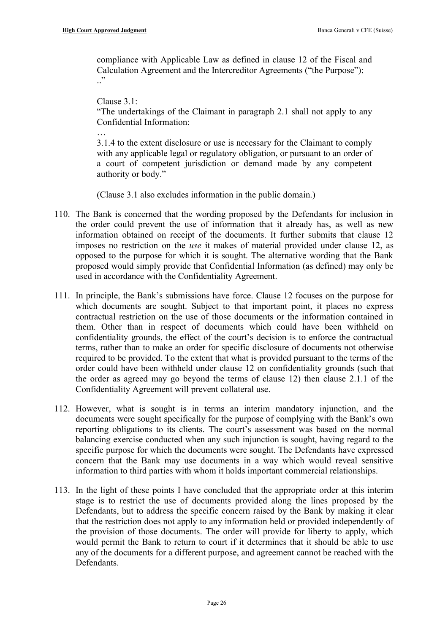compliance with Applicable Law as defined in clause 12 of the Fiscal and Calculation Agreement and the Intercreditor Agreements ("the Purpose");  $\cdot$ "

Clause 3.1:

"The undertakings of the Claimant in paragraph 2.1 shall not apply to any Confidential Information:

…<br>…

3.1.4 to the extent disclosure or use is necessary for the Claimant to comply with any applicable legal or regulatory obligation, or pursuant to an order of a court of competent jurisdiction or demand made by any competent authority or body."

(Clause 3.1 also excludes information in the public domain.)

- 110. The Bank is concerned that the wording proposed by the Defendants for inclusion in the order could prevent the use of information that it already has, as well as new information obtained on receipt of the documents. It further submits that clause 12 imposes no restriction on the *use* it makes of material provided under clause 12, as opposed to the purpose for which it is sought. The alternative wording that the Bank proposed would simply provide that Confidential Information (as defined) may only be used in accordance with the Confidentiality Agreement.
- 111. In principle, the Bank's submissions have force. Clause 12 focuses on the purpose for which documents are sought. Subject to that important point, it places no express contractual restriction on the use of those documents or the information contained in them. Other than in respect of documents which could have been withheld on confidentiality grounds, the effect of the court's decision is to enforce the contractual terms, rather than to make an order for specific disclosure of documents not otherwise required to be provided. To the extent that what is provided pursuant to the terms of the order could have been withheld under clause 12 on confidentiality grounds (such that the order as agreed may go beyond the terms of clause 12) then clause 2.1.1 of the Confidentiality Agreement will prevent collateral use.
- 112. However, what is sought is in terms an interim mandatory injunction, and the documents were sought specifically for the purpose of complying with the Bank's own reporting obligations to its clients. The court's assessment was based on the normal balancing exercise conducted when any such injunction is sought, having regard to the specific purpose for which the documents were sought. The Defendants have expressed concern that the Bank may use documents in a way which would reveal sensitive information to third parties with whom it holds important commercial relationships.
- 113. In the light of these points I have concluded that the appropriate order at this interim stage is to restrict the use of documents provided along the lines proposed by the Defendants, but to address the specific concern raised by the Bank by making it clear that the restriction does not apply to any information held or provided independently of the provision of those documents. The order will provide for liberty to apply, which would permit the Bank to return to court if it determines that it should be able to use any of the documents for a different purpose, and agreement cannot be reached with the Defendants.